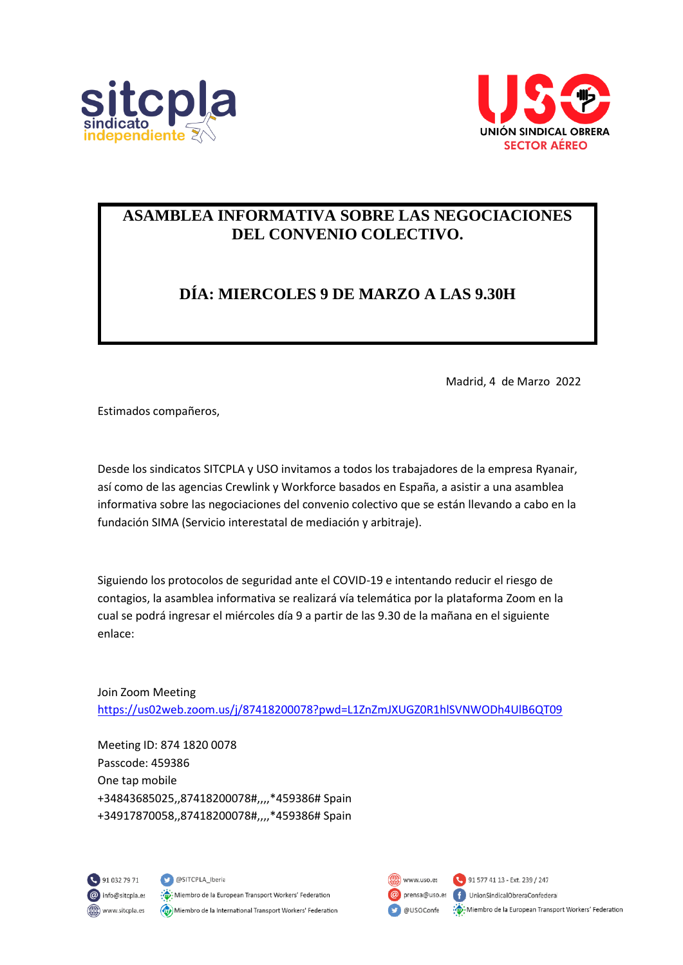



#### **ASAMBLEA INFORMATIVA SOBRE LAS NEGOCIACIONES DEL CONVENIO COLECTIVO.**

### **DÍA: MIERCOLES 9 DE MARZO A LAS 9.30H**

Madrid, 4 de Marzo 2022

Estimados compañeros,

Desde los sindicatos SITCPLA y USO invitamos a todos los trabajadores de la empresa Ryanair, así como de las agencias Crewlink y Workforce basados en España, a asistir a una asamblea informativa sobre las negociaciones del convenio colectivo que se están llevando a cabo en la fundación SIMA (Servicio interestatal de mediación y arbitraje).

Siguiendo los protocolos de seguridad ante el COVID-19 e intentando reducir el riesgo de contagios, la asamblea informativa se realizará vía telemática por la plataforma Zoom en la cual se podrá ingresar el miércoles día 9 a partir de las 9.30 de la mañana en el siguiente enlace:

Join Zoom Meeting <https://us02web.zoom.us/j/87418200078?pwd=L1ZnZmJXUGZ0R1hlSVNWODh4UlB6QT09>

Meeting ID: 874 1820 0078 Passcode: 459386 One tap mobile +34843685025,,87418200078#,,,,\*459386# Spain +34917870058,,87418200078#,,,,\*459386# Spain





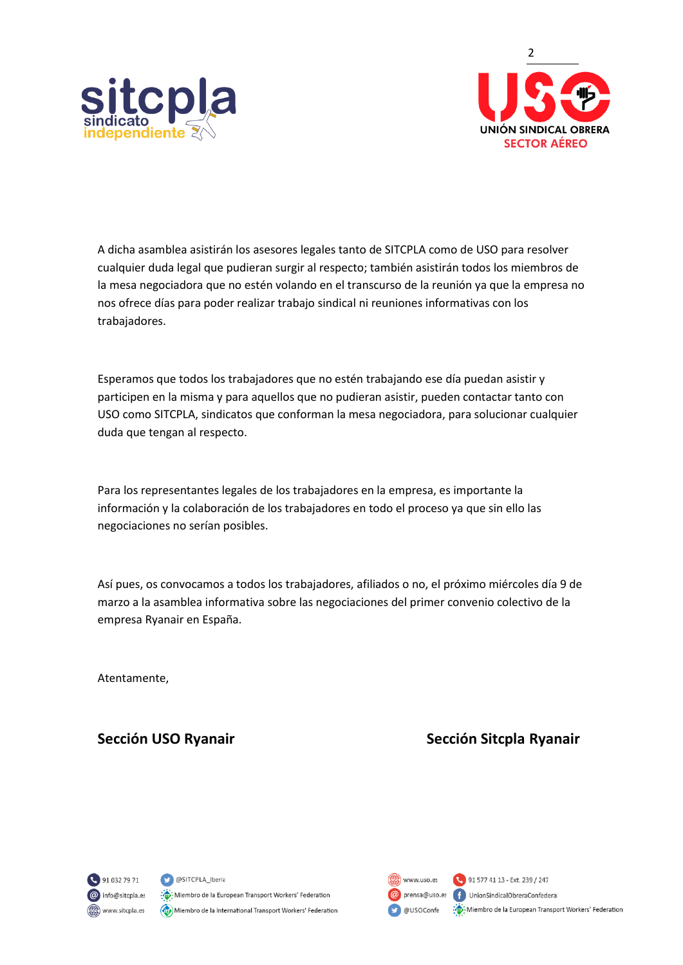



A dicha asamblea asistirán los asesores legales tanto de SITCPLA como de USO para resolver cualquier duda legal que pudieran surgir al respecto; también asistirán todos los miembros de la mesa negociadora que no estén volando en el transcurso de la reunión ya que la empresa no nos ofrece días para poder realizar trabajo sindical ni reuniones informativas con los trabajadores.

Esperamos que todos los trabajadores que no estén trabajando ese día puedan asistir y participen en la misma y para aquellos que no pudieran asistir, pueden contactar tanto con USO como SITCPLA, sindicatos que conforman la mesa negociadora, para solucionar cualquier duda que tengan al respecto.

Para los representantes legales de los trabajadores en la empresa, es importante la información y la colaboración de los trabajadores en todo el proceso ya que sin ello las negociaciones no serían posibles.

Así pues, os convocamos a todos los trabajadores, afiliados o no, el próximo miércoles día 9 de marzo a la asamblea informativa sobre las negociaciones del primer convenio colectivo de la empresa Ryanair en España.

Atentamente,

#### **Sección USO Ryanair Sección Sitcpla Ryanair Sección Sitcha Ryanair**



SITCPLA\_Iberia : Miembro de la European Transport Workers' Federation Miembro de la International Transport Workers' Federation

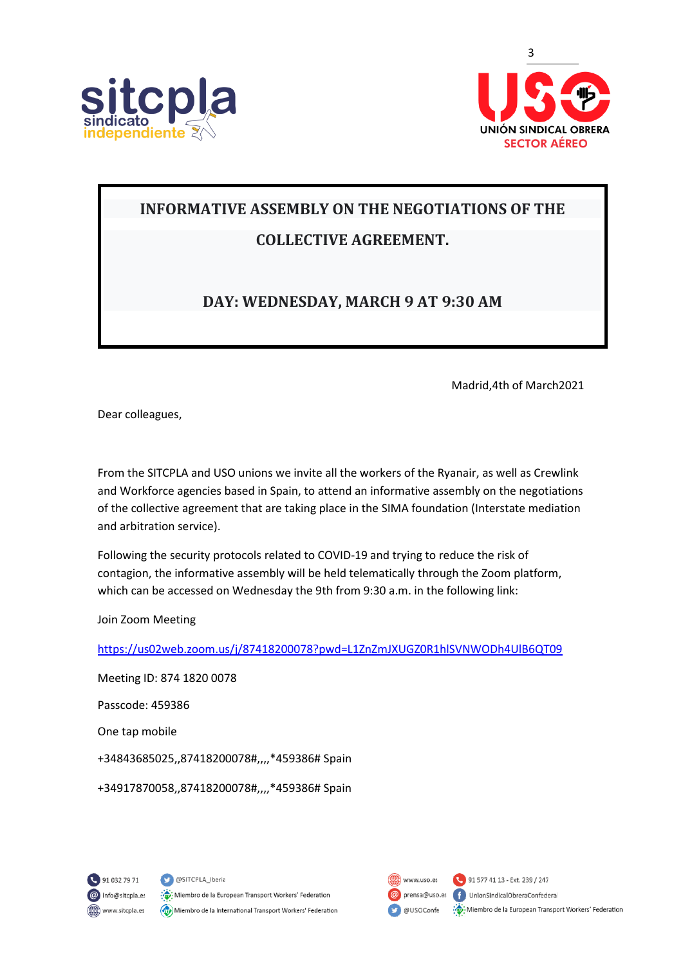



# **INFORMATIVE ASSEMBLY ON THE NEGOTIATIONS OF THE**

## **COLLECTIVE AGREEMENT.**

#### **DAY: WEDNESDAY, MARCH 9 AT 9:30 AM**

Madrid,4th of March2021

Dear colleagues,

From the SITCPLA and USO unions we invite all the workers of the Ryanair, as well as Crewlink and Workforce agencies based in Spain, to attend an informative assembly on the negotiations of the collective agreement that are taking place in the SIMA foundation (Interstate mediation and arbitration service).

Following the security protocols related to COVID-19 and trying to reduce the risk of contagion, the informative assembly will be held telematically through the Zoom platform, which can be accessed on Wednesday the 9th from 9:30 a.m. in the following link:

Join Zoom Meeting

<https://us02web.zoom.us/j/87418200078?pwd=L1ZnZmJXUGZ0R1hlSVNWODh4UlB6QT09>

Meeting ID: 874 1820 0078 Passcode: 459386 One tap mobile +34843685025,,87418200078#,,,,\*459386# Spain +34917870058,,87418200078#,,,,\*459386# Spain